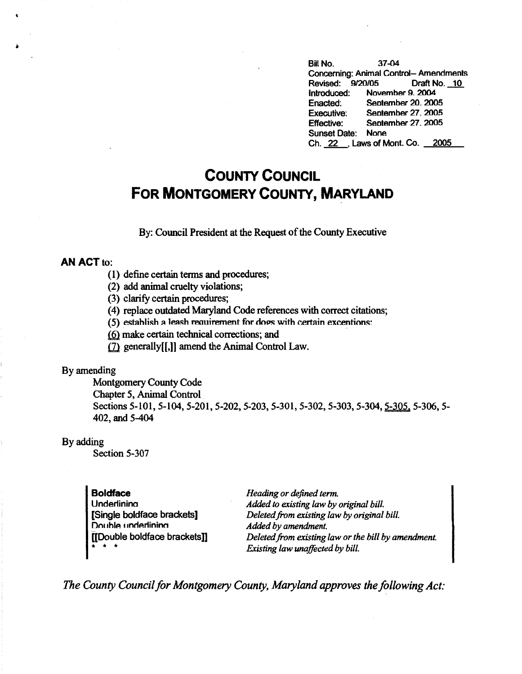Bill No. 37-04 Concerning: Animal Control- Amendments Revised: 9/20/05 Draft No. 10<br>Introduced: November 9. 2004 November 9. 2004 Enacted: Seotember 20. 2005 Executive: Seotember 27. 2005 Effective: Seotember 27. 2005 Sunset Date: None Ch. 22 . Laws of Mont. Co. 2005

# **COUNTY COUNCIL FOR MONTGOMERY COUNTY, MARYLAND**

By: Council President at the Request of the County Executive

## **AN ACT** to:

- (1) define certain terms and procedures;
- (2) add animal cruelty violations;
- (3) clarify certain procedures;
- ( 4) replace outdated Maryland Code references with correct citations;
- (5) establish a leash requirement for doos with certain excentions:
- $(6)$  make certain technical corrections; and
- $(7)$  generally[[,]] amend the Animal Control Law.

### By amending

Montgomery County Code Chapter 5, Animal Control Sections 5-101, 5-104, 5-201, 5-202, 5-203, 5-301, 5-302, 5-303, 5-304, 5-305, 5-306, 5-402, and 5-404

### By adding

Section 5-307

| <b>Boldface</b>               | Heading or defined term.                            |
|-------------------------------|-----------------------------------------------------|
| Underlining                   | Added to existing law by original bill.             |
| [Single boldface brackets]    | Deleted from existing law by original bill.         |
| Double undertining            | Added by amendment.                                 |
| [[Double boldface brackets]]  | Deleted from existing law or the bill by amendment. |
| $\bullet$ $\bullet$ $\bullet$ | Existing law unaffected by bill.                    |

*The County Council for Montgomery County, Maryland approves the following Act:*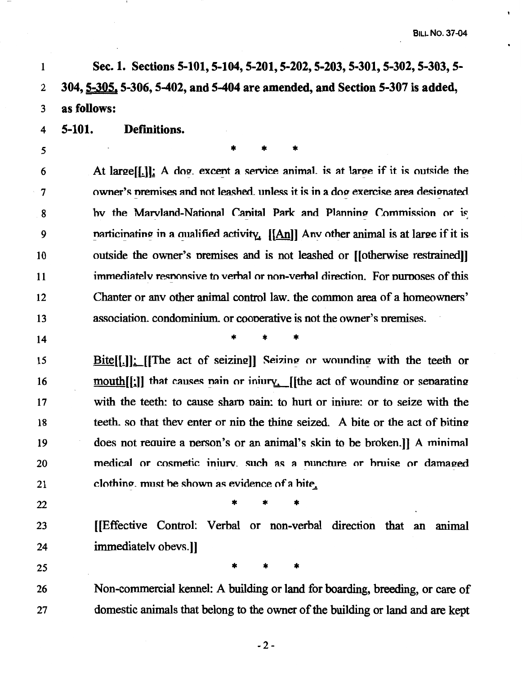$\hat{\textbf{r}}$ 

 $\bullet$ 

| $\mathbf{1}$ | Sec. 1. Sections 5-101, 5-104, 5-201, 5-202, 5-203, 5-301, 5-302, 5-303, 5-                         |  |  |  |  |  |  |  |
|--------------|-----------------------------------------------------------------------------------------------------|--|--|--|--|--|--|--|
| 2            | 304, 5-305, 5-306, 5-402, and 5-404 are amended, and Section 5-307 is added,                        |  |  |  |  |  |  |  |
| 3            | as follows:                                                                                         |  |  |  |  |  |  |  |
| 4            | 5-101.<br>Definitions.                                                                              |  |  |  |  |  |  |  |
| 5            |                                                                                                     |  |  |  |  |  |  |  |
| 6            | At large $[[.]]$ : A dog. excent a service animal. is at large if it is outside the                 |  |  |  |  |  |  |  |
| 7            | owner's premises and not leashed, unless it is in a dog exercise area designated                    |  |  |  |  |  |  |  |
| 8            | by the Marvland-National Canital Park and Planning Commission or is                                 |  |  |  |  |  |  |  |
| 9            | narticinating in a qualified activity. $[[An]]$ Anv other animal is at large if it is               |  |  |  |  |  |  |  |
| 10           | outside the owner's premises and is not leashed or [[otherwise restrained]]                         |  |  |  |  |  |  |  |
| 11           | immediately responsive to verbal or non-verbal direction. For purposes of this                      |  |  |  |  |  |  |  |
| 12           | Chapter or any other animal control law, the common area of a homeowners'                           |  |  |  |  |  |  |  |
| 13           | association. condominium. or cooperative is not the owner's premises.                               |  |  |  |  |  |  |  |
| 14           |                                                                                                     |  |  |  |  |  |  |  |
| 15           | $Bite[[.]]$ : [[The act of seizing]] Seizing or wounding with the teeth or                          |  |  |  |  |  |  |  |
| 16           | $\underline{\text{mouth}}[[\cdot]]$ that causes pain or injury. [[the act of wounding or separating |  |  |  |  |  |  |  |
| 17           | with the teeth: to cause sharp pain: to hurt or injure: or to seize with the                        |  |  |  |  |  |  |  |
| 18           | teeth, so that they enter or nip the thing seized. A bite or the act of biting                      |  |  |  |  |  |  |  |
| 19           | does not require a person's or an animal's skin to be broken.] A minimal                            |  |  |  |  |  |  |  |
| 20           | medical or cosmetic injury, such as a nuncture or bruise or damaged                                 |  |  |  |  |  |  |  |
| 21           | clothing, must be shown as evidence of a bite,                                                      |  |  |  |  |  |  |  |
| 22           |                                                                                                     |  |  |  |  |  |  |  |
| 23           | [Effective Control: Verbal or non-verbal direction that an animal                                   |  |  |  |  |  |  |  |
| 24           | immediately obevs.]                                                                                 |  |  |  |  |  |  |  |
| 25           |                                                                                                     |  |  |  |  |  |  |  |
| 26           | Non-commercial kennel: A building or land for boarding, breeding, or care of                        |  |  |  |  |  |  |  |
| 27           | domestic animals that belong to the owner of the building or land and are kept                      |  |  |  |  |  |  |  |

 $\mathbf{I}$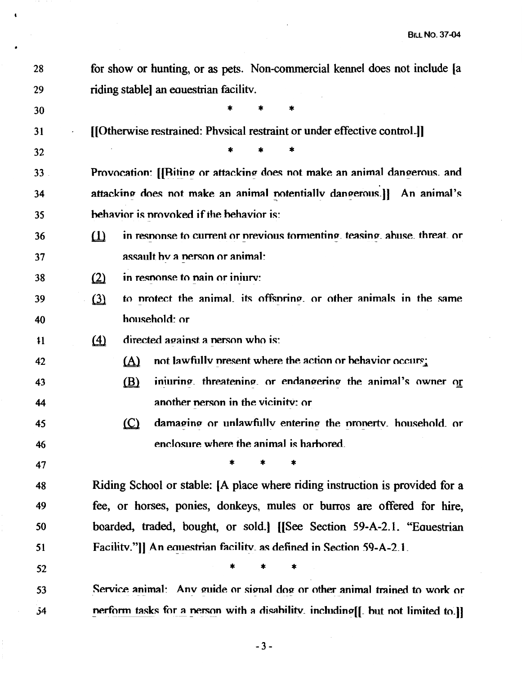| 28 | for show or hunting, or as pets. Non-commercial kennel does not include [a            |  |  |  |  |
|----|---------------------------------------------------------------------------------------|--|--|--|--|
| 29 | riding stable an equestrian facility.                                                 |  |  |  |  |
| 30 | *                                                                                     |  |  |  |  |
| 31 | [[Otherwise restrained: Physical restraint or under effective control.]]              |  |  |  |  |
| 32 |                                                                                       |  |  |  |  |
| 33 | Provocation: [[Biting or attacking does not make an animal dangerous. and             |  |  |  |  |
| 34 | attacking does not make an animal notentially dangerous.]] An animal's                |  |  |  |  |
| 35 | behavior is provoked if the behavior is:                                              |  |  |  |  |
| 36 | in response to current or previous tormenting, teasing, abuse, threat, or<br>$\omega$ |  |  |  |  |
| 37 | assault by a nerson or animal:                                                        |  |  |  |  |
| 38 | in response to pain or injury:<br>$\Omega$                                            |  |  |  |  |
| 39 | $\Omega$<br>to protect the animal its offspring or other animals in the same          |  |  |  |  |
| 40 | household: or                                                                         |  |  |  |  |
| 11 | directed against a nerson who is:<br>$\triangle$                                      |  |  |  |  |
| 42 | not lawfully present where the action or behavior occurs;<br>(A)                      |  |  |  |  |
| 43 | iniuring. threatening. or endangering the animal's owner or<br>(B)                    |  |  |  |  |
| 44 | another person in the vicinity: or                                                    |  |  |  |  |
| 45 | $\circ$<br>damaging or unlawfully entering the property, household, or                |  |  |  |  |
| 46 | enclosure where the animal is harbored                                                |  |  |  |  |
| 47 | *<br>*<br>*                                                                           |  |  |  |  |
| 48 | Riding School or stable: [A place where riding instruction is provided for a          |  |  |  |  |
| 49 | fee, or horses, ponies, donkeys, mules or burros are offered for hire,                |  |  |  |  |
| 50 | boarded, traded, bought, or sold. [[See Section 59-A-2.1. "Equestrian                 |  |  |  |  |
| 51 | Facility."]] An equestrian facility, as defined in Section 59-A-2.1.                  |  |  |  |  |
| 52 | *<br>*                                                                                |  |  |  |  |
| 53 | Service animal: Anv guide or signal dog or other animal trained to work or            |  |  |  |  |
| 54 | nerform tasks for a nerson with a disability including[[ but not limited to.]]        |  |  |  |  |

 $\ddot{\phantom{0}}$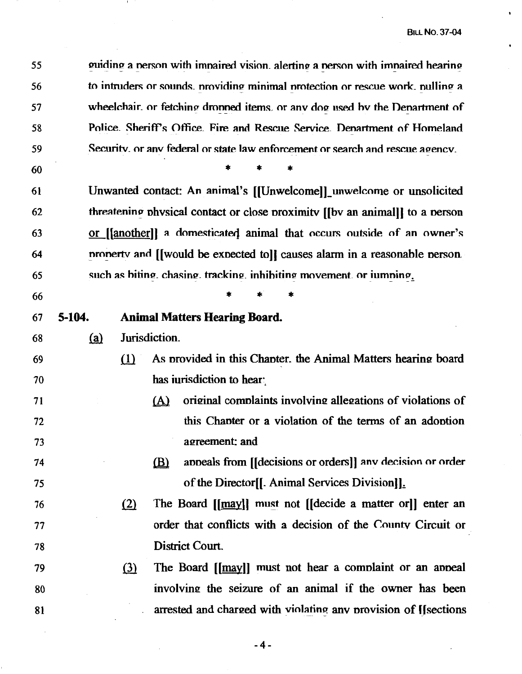55 guiding a person with impaired vision, alerting a person with impaired hearing to intruders or sounds, providing minimal protection or rescue work, pulling a 56 wheelchair, or fetching dropped items, or any dog used by the Department of 57 Police. Sheriff's Office. Fire and Rescue Service. Denartment of Homeland 58 Security, or any federal or state law enforcement or search and rescue agency. 59

60

Unwanted contact: An animal's [[Unwelcome]] unwelcome or unsolicited 61 62 threatening physical contact or close proximity [[by an animal]] to a person 63 or [[another]] a domesticated animal that occurs outside of an owner's property and [[would be expected to]] causes alarm in a reasonable person. 64 such as biting, chasing, tracking, inhibiting movement, or jumning. 65

66

74

75

#### 5-104. 67 **Animal Matters Hearing Board.**

Jurisdiction.  $(a)$ 68

- 69  $(1)$ As provided in this Chapter, the Animal Matters hearing board has iurisdiction to hear: 70
- 71  $(A)$ original complaints involving allegations of violations of this Chapter or a violation of the terms of an adoption 72 agreement: and 73
	- appeals from [[decisions or orders]] any decision or order (B) of the Director<sup>[[</sup>]. Animal Services Division]].
- $(2)$ The Board [[may]] must not [[decide a matter or]] enter an 76 order that conflicts with a decision of the County Circuit or 77 District Court. 78
- The Board [[may]] must not hear a complaint or an appeal 79  $(3)$ involving the seizure of an animal if the owner has been 80 arrested and charged with violating any provision of [[sections] 81

 $-4-$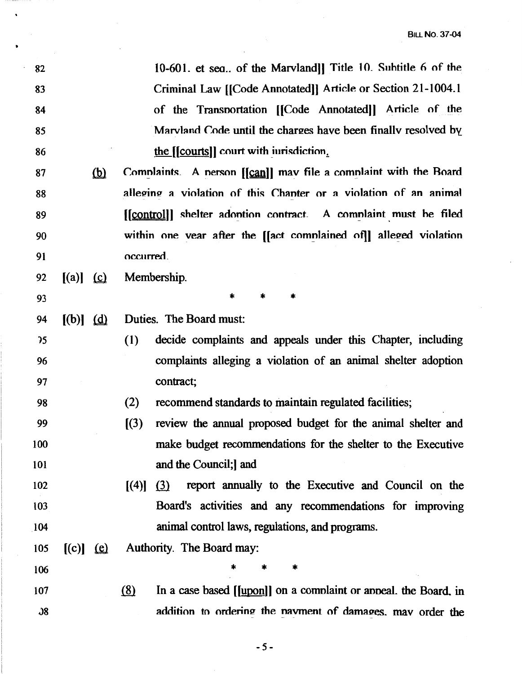| 82            |               |               | 10-601. et sea of the Marvland]] Title 10. Subtitle 6 of the                       |
|---------------|---------------|---------------|------------------------------------------------------------------------------------|
| 83            |               |               | Criminal Law [[Code Annotated]] Article or Section 21-1004.1                       |
| 84            |               |               | of the Transportation [[Code Annotated]] Article of the                            |
| 85            |               |               | Marvland Code until the charges have been finally resolved by                      |
| 86            |               |               | the [[courts]] court with invisie dion.                                            |
| 87            |               | <u>(b)</u>    | Complaints. A nerson [[can]] may file a complaint with the Board                   |
| 88            |               |               | alleging a violation of this Chanter or a violation of an animal                   |
| 89            |               |               | [[control]] shelter adontion contract. A complaint must be filed                   |
| 90            |               |               | within one vear after the [[act complained of]] alleged violation                  |
| 91            |               |               | occurred.                                                                          |
| 92            | $[(a)]$ $(c)$ |               | Membership.                                                                        |
| 93            |               |               | $\ast$<br>*<br>*                                                                   |
| 94            | $[(b)]$ $(d)$ |               | Duties. The Board must:                                                            |
| 35            |               |               | (1)<br>decide complaints and appeals under this Chapter, including                 |
| 96            |               |               | complaints alleging a violation of an animal shelter adoption                      |
| 97            |               |               | contract;                                                                          |
| 98            |               |               | (2)<br>recommend standards to maintain regulated facilities;                       |
| 99            |               |               | (3)<br>review the annual proposed budget for the animal shelter and                |
| 100           |               |               | make budget recommendations for the shelter to the Executive                       |
| 101           |               |               | and the Council; and                                                               |
| 102           |               |               | report annually to the Executive and Council on the<br>(3)<br>$\left[ (4) \right]$ |
| 103           |               |               | Board's activities and any recommendations for improving                           |
| 104           |               |               | animal control laws, regulations, and programs.                                    |
| 105           |               | $[(c)]$ $(c)$ | Authority. The Board may:                                                          |
| 106           |               |               | *                                                                                  |
| 107           |               |               | (8)<br>In a case based [[upon]] on a complaint or appeal. the Board, in            |
| $\mathcal{S}$ |               |               | addition to ordering the navment of damages, may order the                         |

 $\ddot{\phantom{0}}$ 

-5-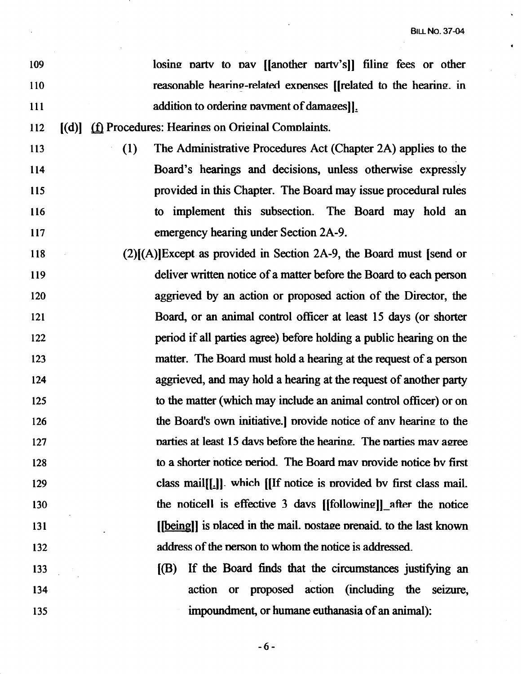- 109 110 111 112 113 114 115 116 117 118 119 120 121 122 123 124 125 126 127 128 129 130 131 132 133 134  $[(d)]$  ( $\underline{f}$ ) Procedures: Hearings on Original Complaints. losing party to pay [[another party's]] filing fees or other reasonable hearing-related expenses [[related to the hearing. in addition to ordering payment of damages]. (l) The Administrative Procedures Act (Chapter 2A) applies to the Board's hearings and decisions, unless otherwise expressly provided in this Chapter. The Board may issue procedural rules to implement this subsection. The Board may hold an emergency hearing under Section 2A-9. (2)[(A)]Except as provided in Section 2A-9, the Board must (send or deliver written notice of a matter before the Board to each person aggrieved by an action or proposed action of the Director, the Board, or an animal control officer at least 15 days (or shorter period if all parties agree) before holding a public hearing on the matter. The Board must hold a hearing at the request of a person aggrieved, and may hold a hearing at the request of another party to the matter (which may include an animal control officer) or on the Board's own initiative.] provide notice of any hearing to the narties at least 15 days before the hearing. The narties may agree to a shorter notice neriod. The Board mav nrovide notice bv first class mail[[.]]. which [[If notice is provided by first class mail. the noticell is effective 3 days  $[$ [following]]\_after the notice [[being]] is placed in the mail. postage prepaid. to the last known address of the nerson to whom the notice is addressed. [(B) If the Board finds that the circumstances justifying an action or proposed action (including the seizure,
	- -6-

impoundment, or humane euthanasia of an animal):

135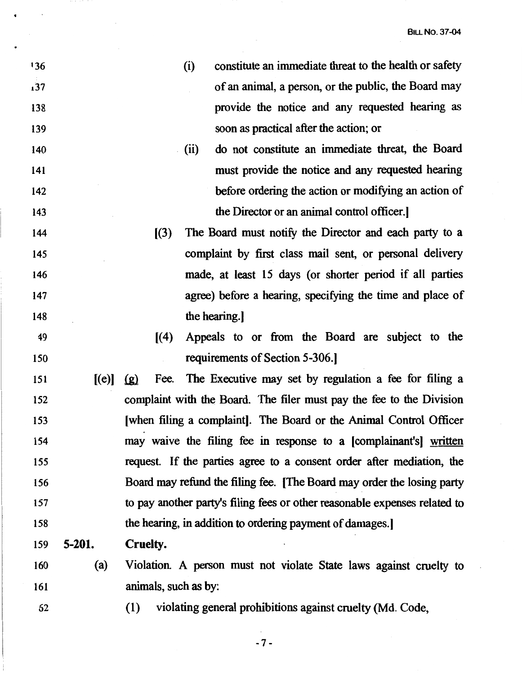- 136 137 138 139 140 141 142 143 144 145 146 147 148 49 150 (i) constitute an immediate threat to the health or safety of an animal, a person, or the public, the Board may provide the notice and any requested hearing as soon as practical after the action; or . (ii) do not constitute an immediate threat, the Board must provide the notice and any requested hearing before ordering the action or modifying an action of the Director or an animal control officer.) ((3) The Board must notify the Director and each party to a complaint by first class mail sent, or personal delivery made, at least 15 days (or shorter period if all parties agree) before a hearing, specifying the time and place of the hearing.)  $[(4)$  Appeals to or from the Board are subject to the requirements of Section 5-306.) 151  $[(e)] (g)$  Fee. The Executive may set by regulation a fee for filing a 152 153 154 155 156 157 158 159 **5-201.**  160 (a) 161 complaint with the Board. The filer must pay the fee to the Division [when filing a complaint). The Board or the Animal Control Officer may waive the filing fee in response to a [complainant's) written request. If the parties agree to a consent order after mediation, the Board may refund the filing fee. [The Board may order the losing party to pay another party's filing fees or other reasonable expenses related to the hearing, in addition to ordering payment of damages.) **Cruelty.**  Violation A person must not violate State laws against cruelty to animals, such as by:
	- 62
- ( l) violating general prohibitions against cruelty (Md. Code,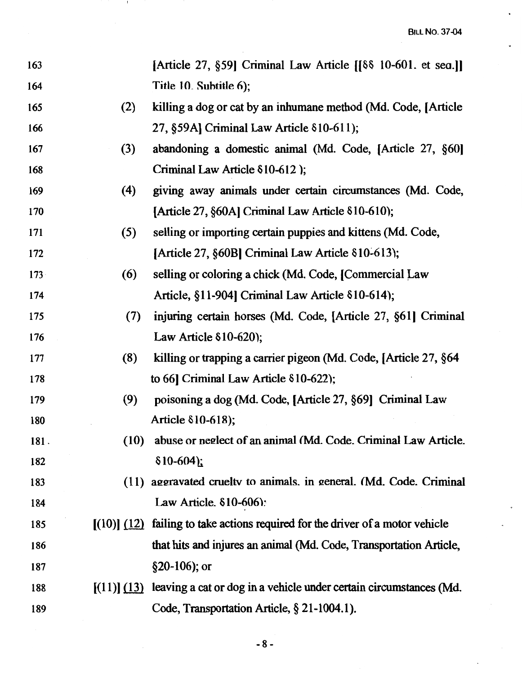| 163  |      | [Article 27, §59] Criminal Law Article $\begin{bmatrix} \delta \delta & 10 & -601 \end{bmatrix}$ . et sea.] |
|------|------|-------------------------------------------------------------------------------------------------------------|
| 164  |      | Title 10. Subtitle 6);                                                                                      |
| 165  | (2)  | killing a dog or cat by an inhumane method (Md. Code, [Article]                                             |
| 166  |      | 27, §59A] Criminal Law Article 810-611);                                                                    |
| 167  | (3)  | abandoning a domestic animal (Md. Code, [Article 27, §60]                                                   |
| 168  |      | Criminal Law Article 810-612);                                                                              |
| 169  | (4)  | giving away animals under certain circumstances (Md. Code,                                                  |
| 170  |      | [Article 27, §60A] Criminal Law Article §10-610);                                                           |
| 171  | (5)  | selling or importing certain puppies and kittens (Md. Code,                                                 |
| 172  |      | [Article 27, §60B] Criminal Law Article §10-613);                                                           |
| 173  | (6)  | selling or coloring a chick (Md. Code, [Commercial Law                                                      |
| 174  |      | Article, §11-904] Criminal Law Article 810-614);                                                            |
| 175  | (7)  | injuring certain horses (Md. Code, [Article 27, §61] Criminal                                               |
| 176  |      | Law Article $$10-620$ ;                                                                                     |
| 177  | (8)  | killing or trapping a carrier pigeon (Md. Code, [Article 27, §64                                            |
| 178  |      | to 66] Criminal Law Article $\delta$ 10-622);                                                               |
| 179  | (9)  | poisoning a dog (Md. Code, [Article 27, §69] Criminal Law                                                   |
| 180  |      | Article 810-618);                                                                                           |
| 181. | (10) | abuse or neglect of an animal (Md. Code. Criminal Law Article.                                              |
| 182  |      | $$10-604$ ;                                                                                                 |
| 183  |      | (11) aggravated cruelty to animals. in general. (Md. Code. Criminal                                         |
| 184  |      | Law Article. $$10-606$ :                                                                                    |
| 185  |      | $[(10)]$ $(12)$ failing to take actions required for the driver of a motor vehicle                          |
| 186  |      | that hits and injures an animal (Md. Code, Transportation Article,                                          |
| 187  |      | $§20-106$ ; or                                                                                              |
| 188  |      | $[(11)]$ $(13)$ leaving a cat or dog in a vehicle under certain circumstances (Md.                          |
| 189  |      | Code, Transportation Article, § 21-1004.1).                                                                 |

 $\overline{\phantom{a}}$ 

-8-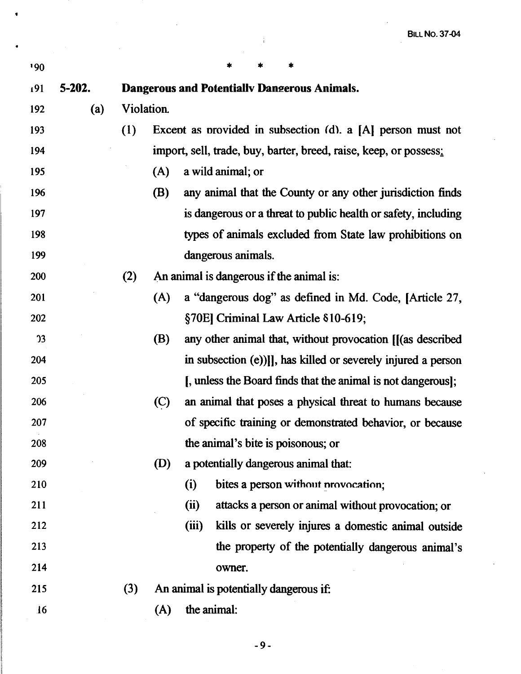| 190            |        |                                              |            | *<br>*<br>*                                                       |  |
|----------------|--------|----------------------------------------------|------------|-------------------------------------------------------------------|--|
| 191            | 5-202. | Dangerous and Potentially Dangerous Animals. |            |                                                                   |  |
| 192            | (a)    | Violation.                                   |            |                                                                   |  |
| 193            |        | (1)                                          |            | Except as provided in subsection (d). a [A] person must not       |  |
| 194            |        |                                              |            | import, sell, trade, buy, barter, breed, raise, keep, or possess: |  |
| 195            |        |                                              | (A)        | a wild animal; or                                                 |  |
| 196            |        |                                              | (B)        | any animal that the County or any other jurisdiction finds        |  |
| 197            |        |                                              |            | is dangerous or a threat to public health or safety, including    |  |
| 198            |        |                                              |            | types of animals excluded from State law prohibitions on          |  |
| 199            |        |                                              |            | dangerous animals.                                                |  |
| 200            |        | (2)                                          |            | An animal is dangerous if the animal is:                          |  |
| 201            |        |                                              | (A)        | a "dangerous dog" as defined in Md. Code, [Article 27,            |  |
| 202            |        |                                              |            | §70E] Criminal Law Article §10-619;                               |  |
| $\overline{2}$ |        |                                              | <b>(B)</b> | any other animal that, without provocation [[(as described        |  |
| 204            |        |                                              |            | in subsection (e))]], has killed or severely injured a person     |  |
| 205            |        |                                              |            | [, unless the Board finds that the animal is not dangerous];      |  |
| 206            |        |                                              | (C)        | an animal that poses a physical threat to humans because          |  |
| 207            |        |                                              |            | of specific training or demonstrated behavior, or because         |  |
| 208            |        |                                              |            | the animal's bite is poisonous; or                                |  |
| 209            |        |                                              | (D)        | a potentially dangerous animal that:                              |  |
| 210            |        |                                              |            | bites a person without provocation;<br>(i)                        |  |
| 211            |        |                                              |            | (ii)<br>attacks a person or animal without provocation; or        |  |
| 212            |        |                                              |            | (iii)<br>kills or severely injures a domestic animal outside      |  |
| 213            |        |                                              |            | the property of the potentially dangerous animal's                |  |
| 214            |        |                                              |            | owner.                                                            |  |
| 215            |        | (3)                                          |            | An animal is potentially dangerous if:                            |  |
| 16             |        |                                              | (A)        | the animal:                                                       |  |

.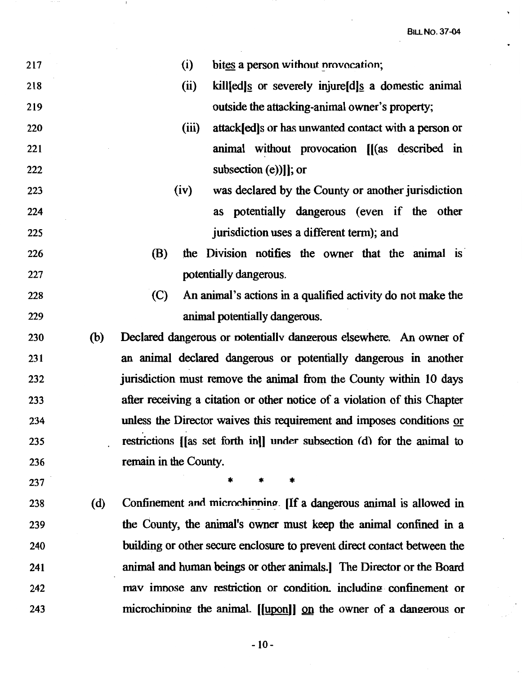BILL No. 37-04

v

| 217 |     | (i)<br>bites a person without provocation;                                         |
|-----|-----|------------------------------------------------------------------------------------|
| 218 |     | (ii)<br>kill[ed] <sup>s</sup> or severely injure[d] <sup>s</sup> a domestic animal |
| 219 |     | outside the attacking-animal owner's property;                                     |
| 220 |     | (iii)<br>attack[ed]s or has unwanted contact with a person or                      |
| 221 |     | animal without provocation [[(as described in                                      |
| 222 |     | subsection (e))]]; or                                                              |
| 223 |     | (iv)<br>was declared by the County or another jurisdiction                         |
| 224 |     | as potentially dangerous (even if the other                                        |
| 225 |     | jurisdiction uses a different term); and                                           |
| 226 |     | (B)<br>the Division notifies the owner that the animal is                          |
| 227 |     | potentially dangerous.                                                             |
| 228 |     | (C)<br>An animal's actions in a qualified activity do not make the                 |
| 229 |     | animal potentially dangerous.                                                      |
| 230 | (b) | Declared dangerous or notentially dangerous elsewhere. An owner of                 |
| 231 |     | an animal declared dangerous or potentially dangerous in another                   |
| 232 |     | jurisdiction must remove the animal from the County within 10 days                 |
| 233 |     | after receiving a citation or other notice of a violation of this Chapter          |
| 234 |     | unless the Director waives this requirement and imposes conditions or              |
| 235 |     | restrictions [[as set forth in]] under subsection (d) for the animal to            |
| 236 |     | remain in the County.                                                              |
| 237 |     | *<br>$\ast$<br>*                                                                   |
| 238 | (d) | Confinement and microchinning. [If a dangerous animal is allowed in                |
| 239 |     | the County, the animal's owner must keep the animal confined in a                  |
| 240 |     | building or other secure enclosure to prevent direct contact between the           |
| 241 |     | animal and human beings or other animals.] The Director or the Board               |
| 242 |     | may impose any restriction or condition, including confinement or                  |
| 243 |     | microchipping the animal. [[upon]] on the owner of a dangerous or                  |

 $\sim$  1.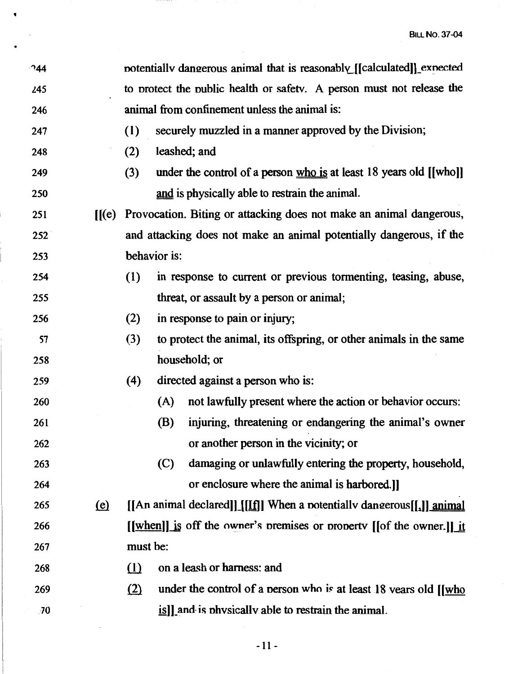| 244 |                              | notentially dangerous animal that is reasonably [[calculated]] expected |              |                                                                                  |
|-----|------------------------------|-------------------------------------------------------------------------|--------------|----------------------------------------------------------------------------------|
| 245 |                              | to protect the public health or safety. A person must not release the   |              |                                                                                  |
| 246 |                              | animal from confinement unless the animal is:                           |              |                                                                                  |
| 247 |                              | (1)                                                                     |              | securely muzzled in a manner approved by the Division;                           |
| 248 |                              | (2)                                                                     |              | leashed; and                                                                     |
| 249 |                              | (3)                                                                     |              | under the control of a person $\underline{who}$ is at least 18 years old [[who]] |
| 250 |                              |                                                                         |              | and is physically able to restrain the animal.                                   |
| 251 | $\mathbf{H}(\mathbf{e})$     |                                                                         |              | Provocation. Biting or attacking does not make an animal dangerous,              |
| 252 |                              |                                                                         |              | and attacking does not make an animal potentially dangerous, if the              |
| 253 |                              |                                                                         | behavior is: |                                                                                  |
| 254 |                              | (1)                                                                     |              | in response to current or previous tormenting, teasing, abuse,                   |
| 255 |                              |                                                                         |              | threat, or assault by a person or animal;                                        |
| 256 |                              | (2)                                                                     |              | in response to pain or injury;                                                   |
| 57  |                              | (3)                                                                     |              | to protect the animal, its offspring, or other animals in the same               |
| 258 |                              |                                                                         |              | household; or                                                                    |
| 259 |                              | (4)                                                                     |              | directed against a person who is:                                                |
| 260 |                              |                                                                         | (A)          | not lawfully present where the action or behavior occurs:                        |
| 261 |                              |                                                                         | (B)          | injuring, threatening or endangering the animal's owner                          |
| 262 |                              |                                                                         |              | or another person in the vicinity; or                                            |
| 263 |                              |                                                                         | (C)          | damaging or unlawfully entering the property, household,                         |
| 264 |                              |                                                                         |              | or enclosure where the animal is harbored.]                                      |
| 265 | $\left(\underline{e}\right)$ |                                                                         |              | [[An animal declared]][[[f]] When a potentially dangerous[[1]] animal            |
| 266 |                              |                                                                         |              | <u>[[when]]</u> is off the owner's premises or property [[of the owner.]] it     |
| 267 |                              | must be:                                                                |              |                                                                                  |
| 268 |                              | $\Omega$                                                                |              | on a leash or harness: and                                                       |
| 269 |                              | (2)                                                                     |              | under the control of a person who is at least 18 vears old [[who                 |
| .70 |                              |                                                                         |              | is]] and is physically able to restrain the animal.                              |

•

 $\bar{z}$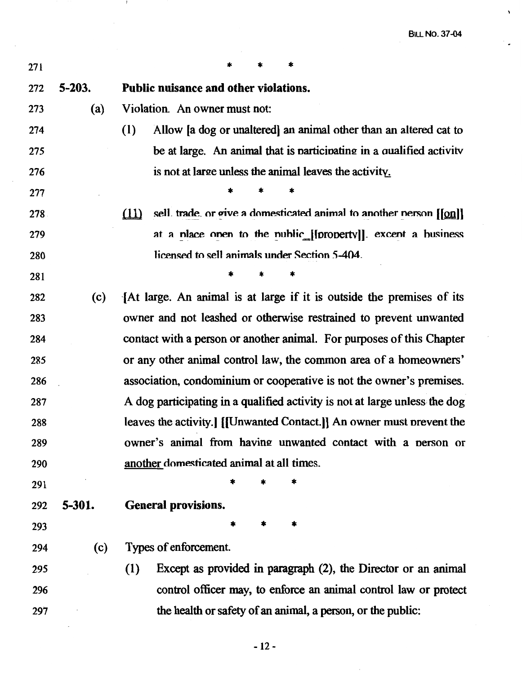$\bar{\mathbf{v}}$ 

 $\overline{a}$ 

| 271 |            | *                                                                                                                            |
|-----|------------|------------------------------------------------------------------------------------------------------------------------------|
| 272 | $5 - 203.$ | Public nuisance and other violations.                                                                                        |
| 273 | (a)        | Violation. An owner must not:                                                                                                |
| 274 |            | (1)<br>Allow a dog or unaltered an animal other than an altered cat to                                                       |
| 275 |            | be at large. An animal that is participating in a qualified activity                                                         |
| 276 |            | is not at large unless the animal leaves the activity.                                                                       |
| 277 |            |                                                                                                                              |
| 278 |            | sell. trade, or give a domesticated animal to another nerson $\lfloor \lfloor \underline{\text{on}} \rfloor \rfloor$<br>(11) |
| 279 |            | at a place onen to the public [[property]]. except a business                                                                |
| 280 |            | licensed to sell animals under Section 5-404.                                                                                |
| 281 |            |                                                                                                                              |
| 282 | (c)        | [At large. An animal is at large if it is outside the premises of its                                                        |
| 283 |            | owner and not leashed or otherwise restrained to prevent unwanted                                                            |
| 284 |            | contact with a person or another animal. For purposes of this Chapter                                                        |
| 285 |            | or any other animal control law, the common area of a homeowners'                                                            |
| 286 |            | association, condominium or cooperative is not the owner's premises.                                                         |
| 287 |            | A dog participating in a qualified activity is not at large unless the dog                                                   |
| 288 |            | leaves the activity.] [[Unwanted Contact.]] An owner must prevent the                                                        |
| 289 |            | owner's animal from having unwanted contact with a person or                                                                 |
| 290 |            | another domesticated animal at all times.                                                                                    |
| 291 |            |                                                                                                                              |
| 292 | 5-301.     | <b>General provisions.</b>                                                                                                   |
| 293 |            |                                                                                                                              |
| 294 | (c)        | Types of enforcement.                                                                                                        |
| 295 |            | Except as provided in paragraph (2), the Director or an animal<br>(1)                                                        |
| 296 |            | control officer may, to enforce an animal control law or protect                                                             |
| 297 |            | the health or safety of an animal, a person, or the public:                                                                  |

and the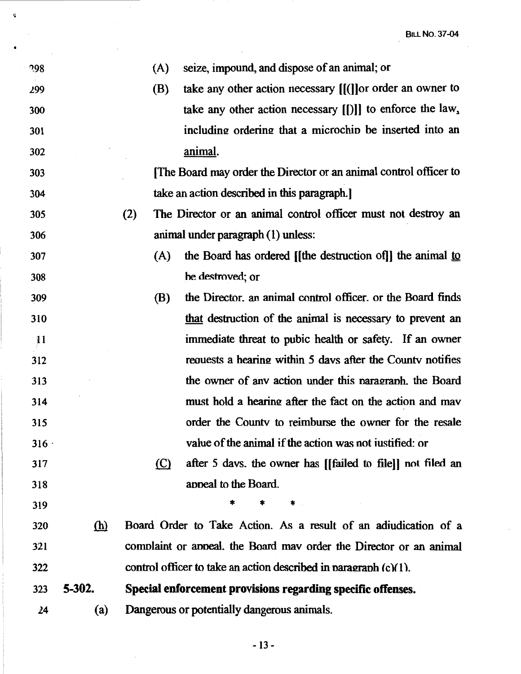| 298  |            | (A)        | seize, impound, and dispose of an animal; or                       |
|------|------------|------------|--------------------------------------------------------------------|
| 299  |            | (B)        | take any other action necessary $[[ ( ]]$ or order an owner to     |
| 300  |            |            | take any other action necessary $[[\cdot]]$ to enforce the law,    |
| 301  |            |            | including ordering that a microchip be inserted into an            |
| 302  |            |            | <u>animal</u> .                                                    |
| 303  |            |            | The Board may order the Director or an animal control officer to   |
| 304  |            |            | take an action described in this paragraph.]                       |
| 305  |            | (2)        | The Director or an animal control officer must not destroy an      |
| 306  |            |            | animal under paragraph (1) unless:                                 |
| 307  |            | (A)        | the Board has ordered [[the destruction of]] the animal to         |
| 308  |            |            | he destroved; or                                                   |
| 309  |            | <b>(B)</b> | the Director, an animal control officer, or the Board finds        |
| 310  |            |            | that destruction of the animal is necessary to prevent an          |
| 11   |            |            | immediate threat to pubic health or safety. If an owner            |
| 312  |            |            | requests a hearing within 5 days after the County notifies         |
| 313  |            |            | the owner of any action under this paragraph. the Board            |
| 314  |            |            | must hold a hearing after the fact on the action and may           |
| 315  |            |            | order the County to reimburse the owner for the resale             |
| 316. |            |            | value of the animal if the action was not iustified: or            |
| 317  |            | $\circ$    | after 5 days, the owner has [[failed to file]] not filed an        |
| 318  |            |            | appeal to the Board.                                               |
| 319  |            |            | $\ast$                                                             |
| 320  | <u>(h)</u> |            | Board Order to Take Action. As a result of an adiudication of a    |
| 321  |            |            | complaint or appeal. the Board may order the Director or an animal |
| 322  |            |            | control officer to take an action described in paragraph (c)(1).   |
| 323  | 5-302.     |            | Special enforcement provisions regarding specific offenses.        |
| 24   | (a)        |            | Dangerous or potentially dangerous animals.                        |

 $\sim$ 

 $\mathbf{v}$ 

 $\hat{\mathcal{A}}$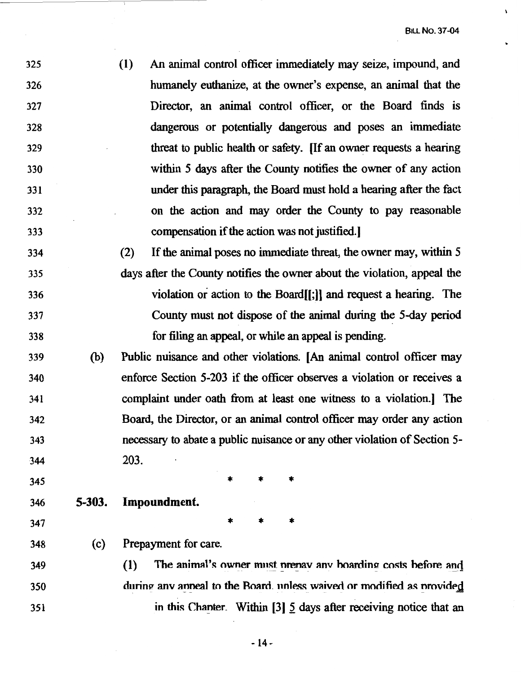- 325 326 327 328 329 330 331 332 333 (I) An animal control officer immediately may seize, impound, and humanely euthanize, at the owner's expense, an animal that the Director, an animal control officer, or the Board finds is dangerous or potentially dangerous and poses an immediate threat to public health or safety. [If an owner requests a hearing within *5* days after the County notifies the owner of any action under this paragraph, the Board must hold a hearing after the fact on the action and may order the County to pay reasonable compensation if the action was not justified.)
- 334 335 336 337 338 (2) If the animal poses no immediate threat, the owner may, within *5*  days after the County notifies the owner about the violation, appeal the violation or action to the Board[[;)) and request a hearing. The County must not dispose of the animal during the 5-day period for filing an appeal, or while an appeal is pending.
- 339 (b) Public nuisance and other violations. [An animal control officer may 340 341 342 343 344 enforce Section 5-203 if the officer observes a violation or receives a complaint under oath from at least one witness to a violation.) The Board, the Director, or an animal control officer may order any action necessary to abate a public nuisance or any other violation of Section *5-* 203.

\* \* \*

- 345
- 
- 346 **5-303. Impoundment.**
- $347$  \* \* \*

348 (c) Prepayment for care.

349 350 351 (1) The animal's owner must prepay any boarding costs before and during anv appeal to the Board, unless waived or modified as provided in this Chanter. Within [3] 5 days after receiving notice that an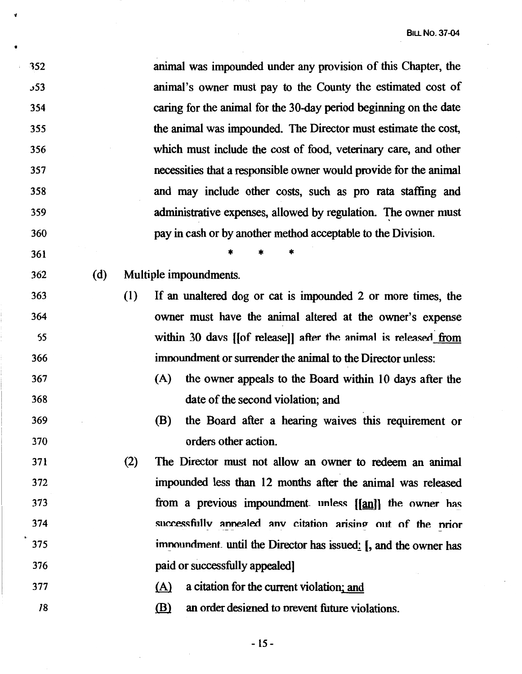| 352             |     |     | animal was impounded under any provision of this Chapter, the     |
|-----------------|-----|-----|-------------------------------------------------------------------|
| 53 <sub>3</sub> |     |     | animal's owner must pay to the County the estimated cost of       |
| 354             |     |     | caring for the animal for the 30-day period beginning on the date |
| 355             |     |     | the animal was impounded. The Director must estimate the cost,    |
| 356             |     |     | which must include the cost of food, veterinary care, and other   |
| 357             |     |     | necessities that a responsible owner would provide for the animal |
| 358             |     |     | and may include other costs, such as pro rata staffing and        |
| 359             |     |     | administrative expenses, allowed by regulation. The owner must    |
| 360             |     |     | pay in cash or by another method acceptable to the Division.      |
| 361             |     |     |                                                                   |
| 362             | (d) |     | Multiple impoundments.                                            |
| 363             |     | (1) | If an unaltered dog or cat is impounded 2 or more times, the      |
| 364             |     |     | owner must have the animal altered at the owner's expense         |
| 55              |     |     | within 30 days [[of release]] after the animal is released from   |
| 366             |     |     | impoundment or surrender the animal to the Director unless:       |
| 367             |     |     | the owner appeals to the Board within 10 days after the<br>(A)    |
| 368             |     |     | date of the second violation; and                                 |
| 369             |     |     | (B)<br>the Board after a hearing waives this requirement or       |
| 370             |     |     | orders other action.                                              |
| 371             |     | (2) | The Director must not allow an owner to redeem an animal          |
| 372             |     |     | impounded less than 12 months after the animal was released       |
| 373             |     |     | from a previous impoundment unless [[an]] the owner has           |
| 374             |     |     | successfully annealed any citation arising out of the prior       |
| 375             |     |     | imnoundment until the Director has issued: [, and the owner has   |
| 376             |     |     | paid or successfully appealed]                                    |
| 377             |     |     | a citation for the current violation; and<br>(A)                  |
| 18              |     |     | (B)<br>an order designed to prevent future violations.            |

v

 $\mathcal{L}^{\text{max}}_{\text{max}}$ 

 $\ddot{\phantom{a}}$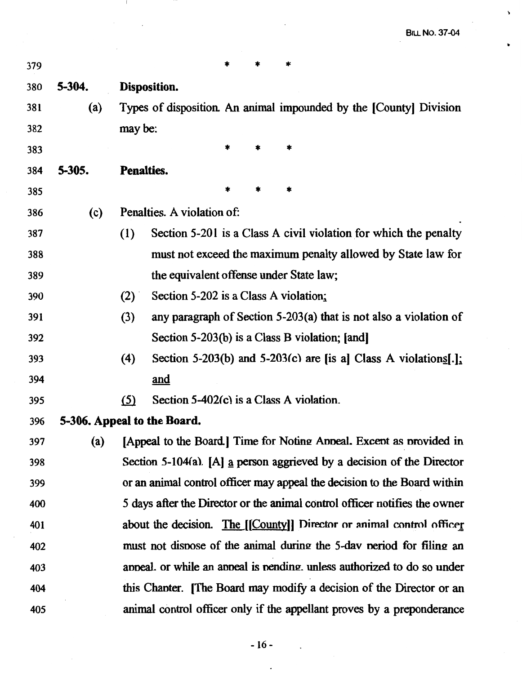$\hat{\textbf{v}}$ 

 $\bullet$ 

| 379 |        |                                                 |                                                                            |
|-----|--------|-------------------------------------------------|----------------------------------------------------------------------------|
| 380 | 5-304. | Disposition.                                    |                                                                            |
| 381 | (a)    |                                                 | Types of disposition. An animal impounded by the [County] Division         |
| 382 |        | may be:                                         |                                                                            |
| 383 |        | *                                               | $\ast$                                                                     |
| 384 | 5-305. | <b>Penalties.</b>                               |                                                                            |
| 385 |        |                                                 |                                                                            |
| 386 | (c)    | Penalties. A violation of:                      |                                                                            |
| 387 |        | (1)                                             | Section 5-201 is a Class A civil violation for which the penalty           |
| 388 |        |                                                 | must not exceed the maximum penalty allowed by State law for               |
| 389 |        | the equivalent offense under State law;         |                                                                            |
| 390 |        | Section 5-202 is a Class A violation;<br>(2)    |                                                                            |
| 391 |        | (3)                                             | any paragraph of Section $5-203(a)$ that is not also a violation of        |
| 392 |        | Section 5-203(b) is a Class B violation; [and]  |                                                                            |
| 393 |        | (4)                                             | Section 5-203(b) and 5-203(c) are [is a] Class A violations[.]:            |
| 394 |        | and                                             |                                                                            |
| 395 |        | Section 5-402(c) is a Class A violation.<br>(5) |                                                                            |
| 396 |        | 5-306. Appeal to the Board.                     |                                                                            |
| 397 |        |                                                 | (a) [Appeal to the Board.] Time for Noting Appeal. Except as provided in   |
| 398 |        |                                                 | Section 5-104(a). [A] a person aggrieved by a decision of the Director     |
| 399 |        |                                                 | or an animal control officer may appeal the decision to the Board within   |
| 400 |        |                                                 | 5 days after the Director or the animal control officer notifies the owner |
| 401 |        |                                                 | about the decision. The [[County]] Director or animal control officer      |
| 402 |        |                                                 | must not dispose of the animal during the 5-day period for filing an       |
| 403 |        |                                                 | anneal, or while an anneal is nending, unless authorized to do so under    |
| 404 |        |                                                 | this Chanter. [The Board may modify a decision of the Director or an       |
| 405 |        |                                                 | animal control officer only if the appellant proves by a preponderance     |

 $\hat{\mathcal{A}}$ 

 $\mathbf{I}$ 

 $\mathcal{A}^{\text{max}}_{\text{max}}$ 

 $\mathcal{L}$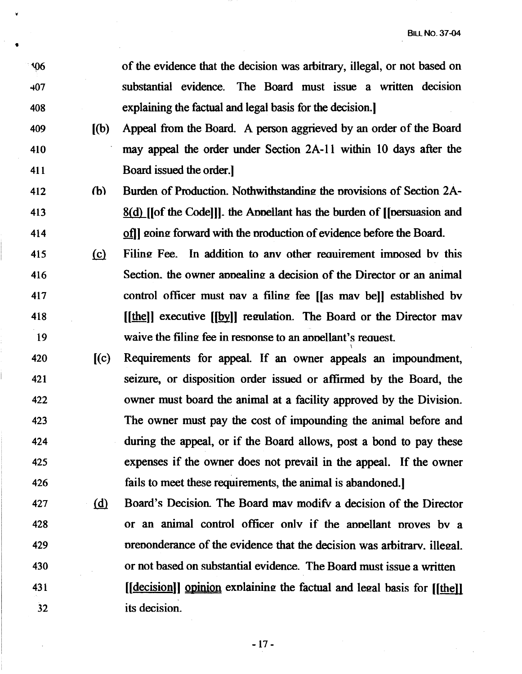106 407 408 of the evidence that the decision was arbitrary, illegal, or not based on substantial evidence. The Board must issue a written decision explaining the factual and legal basis for the decision.)

- 409 [(b) Appeal from the Board. A person aggrieved by an order of the Board 410 may appeal the order under Section 2A-11 within 10 days after the 411 Board issued the order.)
- $412$  (b) Burden of Production. Nothwithstanding the provisions of Section 2A-413 414 8(d) [[of the Code]]]. the Annellant has the burden of [[nersuasion and of l going forward with the production of evidence before the Board.
- 415 (c) Filing Fee. In addition to any other requirement imposed by this 416 417 418 19 Section, the owner appealing a decision of the Director or an animal control officer must nav a filing fee [[as may bel] established by ([the]] executive ([by]] regulation. The Board or the Director may waive the filing fee in response to an appellant's request.
- 420 [(c) Requirements for appeal. If an owner appeals an impoundment, 421 422 423 424 425 426 seizure, or disposition order issued or affirmed by the Board, the owner must board the animal at a facility approved by the Division. The owner must pay the cost of impounding the animal before and during the appeal, or if the Board allows, post a bond to pay these expenses if the owner does not prevail in the appeal. If the owner fails to meet these requirements, the animal is abandoned.)
- 427 (d) Board's Decision. The Board may modify a decision of the Director 428 429 430 431 32 or an animal control officer onlv if the annellant nroves bv a preponderance of the evidence that the decision was arbitrary, illegal. or not based on substantial evidence. The Board must issue a written  $\iint \text{d}\alpha$  coincidular explaining the factual and legal basis for  $\iint \text{d}\alpha$ its decision.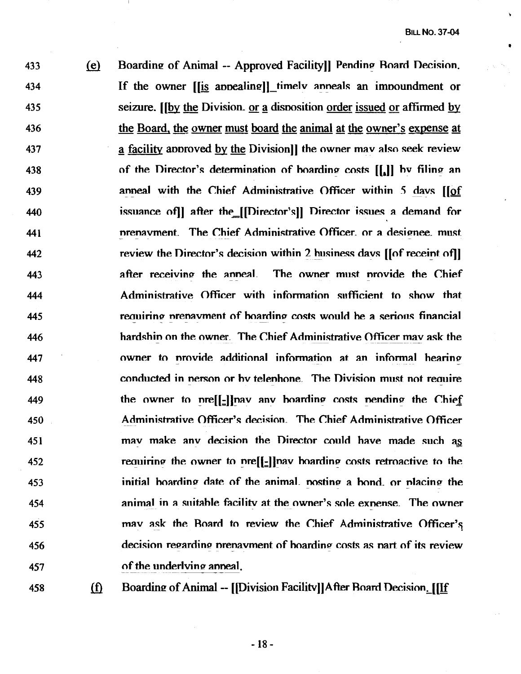433  $(e)$ Boarding of Animal -- Approved Facility]] Pending Board Decision. If the owner [[is appealing]] timely anneals an impoundment or 434 seizure. If by the Division, or a disposition order issued or affirmed by 435 436 the Board, the owner must board the animal at the owner's expense at 437 a facility approved by the Division]) the owner may also seek review 438 of the Director's determination of boarding costs  $[[,]]$  by filing an anneal with the Chief Administrative Officer within  $\overline{5}$  days ( $\overline{10}$ f) 439 issuance of after the [[Director's]] Director issues a demand for 440 nrenavment. The Chief Administrative Officer. or a designee. must 441 review the Director's decision within 2 business davs [[of receint of]] 442 after receiving the anneal. The owner must nrovide the Chief 443 444 Administrative Officer with information sufficient to show that requiring prenavment of hoarding costs would he a serious financial 445 hardshin on the owner. The Chief Administrative Officer may ask the 446 owner to nrovide additional information at an informal hearino-447 conducted in nerson or hv telenhone\_ The Division must not reauire 448 the owner to nre[[-]]nav anv hoarding costs nending the Chief 449 450 Administrative Officer's decision. The Chief Administrative Officer 451 may make any decision the Director could have made such as 452 requiring the owner to pre[[-]] hav hoarding costs retroactive to the initial hoarding date of the animal, nosting a hond, or nlacing the 453 454 animal in a suitable facility at the owner's sole exnense. The owner 455 may ask the Roard to review the Chief Administrative Officer's decision regarding prenavment of hoarding costs as part of its review 456 of the underlying anneal. 457

 $458$  (f)

Boarding of Animal -- [[Division Facility]]After Board Decision. [[If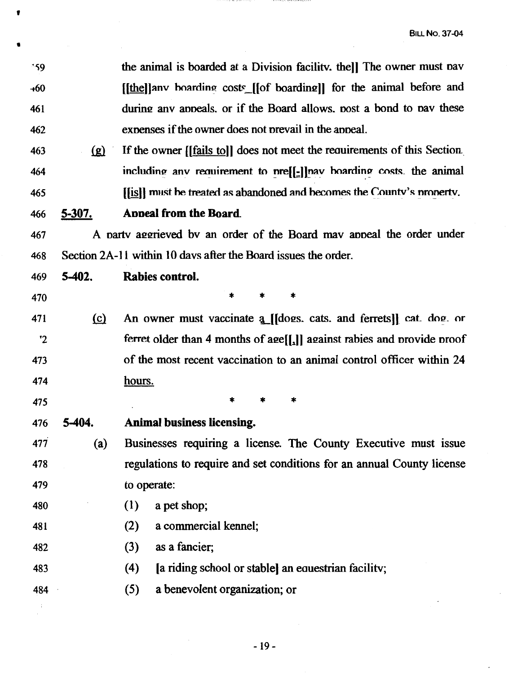the animal is boarded at a Division facility. thell The owner must pay 159 [[the]] any boarding costs [[of boarding]] for the animal before and  $+60$ during any appeals, or if the Board allows, post a bond to pay these 461 expenses if the owner does not prevail in the appeal. 462 If the owner [[fails tol] does not meet the requirements of this Section. 463  $(g)$ including any requirement to pre[[-]] nay boarding costs, the animal 464 [i] must be treated as abandoned and becomes the County's property. 465 Appeal from the Board. 5-307. 466 A party aggrieved by an order of the Board may appeal the order under 467 Section 2A-11 within 10 days after the Board issues the order. 468  $5-402.$ Rabies control. 469  $\ast$ 470 An owner must vaccinate a [[dogs. cats. and ferrets]] cat. dog. or  $(c)$ 471 ferret older than 4 months of age[[,]] against rabies and provide proof  $"2"$ of the most recent vaccination to an animal control officer within 24 473 474 hours. 475 5-404. **Animal business licensing.** 476 Businesses requiring a license. The County Executive must issue 477  $(a)$ regulations to require and set conditions for an annual County license 478 479 to operate: 480  $(1)$ a pet shop;  $(2)$ a commercial kennel; 481 as a fancier:  $(3)$ 482 [a riding school or stable] an equestrian facility; 483  $(4)$ 

a benevolent organization; or  $(5)$ 484